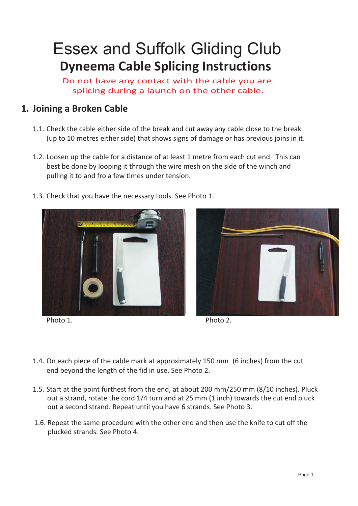## Essex and Suffolk Gliding Club **Dyneema Cable Splicing Instructions**

. splicing during a launch on the other cable.Do not have any contact with the cable you are

## **1. Joining a Broken Cable**

- 1.1. Check the cable either side of the break and cut away any cable close to the break (up to 10 metres either side) that shows signs of damage or has previous joins in it.
- 1.2. Loosen up the cable for a distance of at least 1 metre from each cut end. This can best be done by looping it through the wire mesh on the side of the winch and pulling it to and fro a few times under tension.
- 1.3. Check that you have the necessary tools. See Photo 1.



Photo 1.



Photo 2.

- 1.4. On each piece of the cable mark at approximately 150 mm (6 inches) from the cut end beyond the length of the fid in use. See Photo 2.
- 1.5. Start at the point furthest from the end, at about 200 mm/250 mm (8/10 inches). Pluck out a strand, rotate the cord 1/4 turn and at 25 mm (1 inch) towards the cut end pluck out a second strand. Repeat until you have 6 strands. See Photo 3.
- 1.6. Mark at 500 mm (19 inches) from the cut end of each piece of cable. See Photo 3. 1.6. Repeat the same procedure with the other end and then use the knife to cut off the plucked strands. See Photo 4.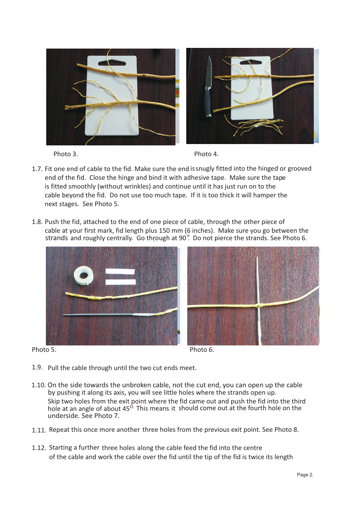

Photo 3.

- 1.7. Fit one end of cable to the fid. Make sure the end is snugly fitted into the hinged or grooved end of the fid. Close the hinge and bind it with adhesive tape. Make sure the tape is fitted smoothly (without wrinkles) and continue until it has just run on to the cable beyond the fid. Do not use too much tape. If it is too thick it will hamper the next stages. See Photo 5.
- 1.8. Push the fid, attached to the end of one piece of cable, through the other piece of cable at your first mark, fid length plus 150 mm (6 inches). Make sure you go between the strands and roughly centrally. Go through at  $90^{\circ}$ . Do not pierce the strands. See Photo 6.



Photo 5. Photo 6.

- 1.9. Pull the cable through until the two cut ends meet.
- 1.10. On the side towards the unbroken cable, not the cut end, you can open up the cable by pushing it along its axis, you will see little holes where the strands open up. Skip two holes from the exit point where the fid came out and push the fid into the third hole at an angle of about  $45^\circ$ . This means it should come out at the fourth hole on the underside. See Photo 7.
- 1.11. Repeat this once more another three holes from the previous exit point. See Photo 8.
- 1.12. Starting a further three holes along the cable feed the fid into the centre of the cable and work the cable over the fid until the tip of the fid is twice its length